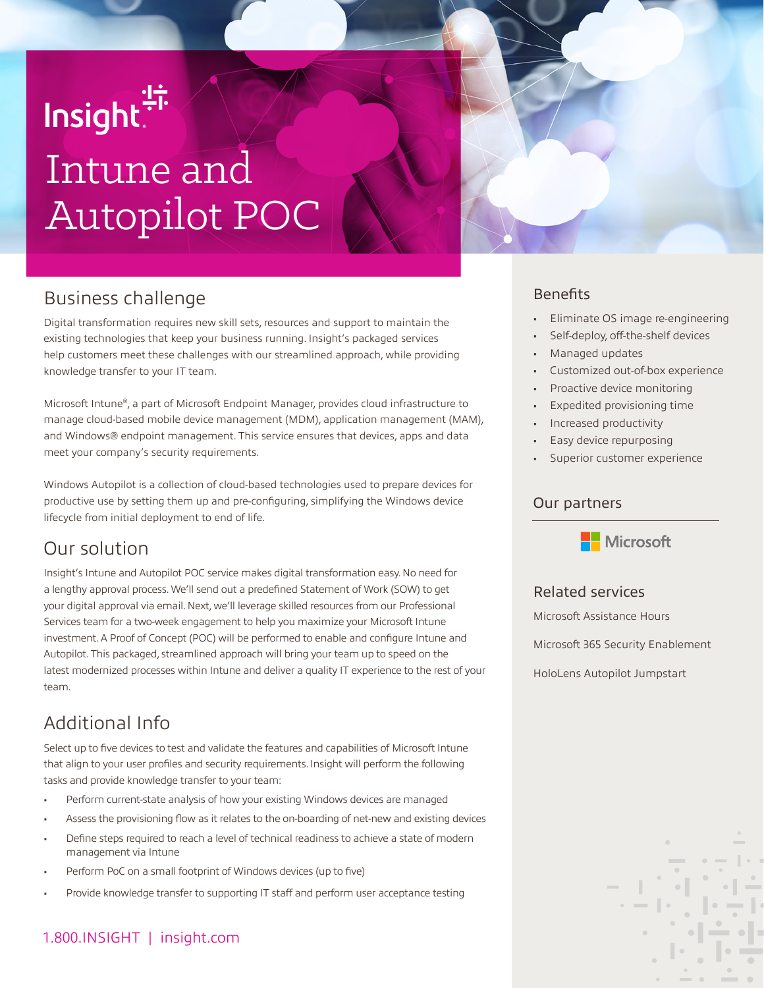# lnsight.<sup>"</sup> Intune and Autopilot POC

## Business challenge

Digital transformation requires new skill sets, resources and support to maintain the existing technologies that keep your business running. Insight's packaged services help customers meet these challenges with our streamlined approach, while providing knowledge transfer to your IT team.

Microsoft Intune®, a part of Microsoft Endpoint Manager, provides cloud infrastructure to manage cloud-based mobile device management (MDM), application management (MAM), and Windows® endpoint management. This service ensures that devices, apps and data meet your company's security requirements.

Windows Autopilot is a collection of cloud-based technologies used to prepare devices for productive use by setting them up and pre-configuring, simplifying the Windows device lifecycle from initial deployment to end of life.

## Our solution

Insight's Intune and Autopilot POC service makes digital transformation easy. No need for a lengthy approval process. We'll send out a predefined Statement of Work (SOW) to get your digital approval via email. Next, we'll leverage skilled resources from our Professional Services team for a two-week engagement to help you maximize your Microsoft Intune investment. A Proof of Concept (POC) will be performed to enable and configure Intune and Autopilot. This packaged, streamlined approach will bring your team up to speed on the latest modernized processes within Intune and deliver a quality IT experience to the rest of your team.

## Additional Info

Select up to five devices to test and validate the features and capabilities of Microsoft Intune that align to your user profiles and security requirements. Insight will perform the following tasks and provide knowledge transfer to your team:

- Perform current-state analysis of how your existing Windows devices are managed
- Assess the provisioning flow as it relates to the on-boarding of net-new and existing devices
- Define steps required to reach a level of technical readiness to achieve a state of modern management via Intune
- Perform PoC on a small footprint of Windows devices (up to five)
- Provide knowledge transfer to supporting IT staff and perform user acceptance testing

## 1.800.INSIGHT | insight.com

### Benefits

- Eliminate OS image re-engineering
- Self-deploy, off-the-shelf devices
- Managed updates
- Customized out-of-box experience
- Proactive device monitoring
- Expedited provisioning time
- Increased productivity
- Easy device repurposing
- Superior customer experience

#### Our partners



#### Related services

Microsoft Assistance Hours

Microsoft 365 Security Enablement

HoloLens Autopilot Jumpstart